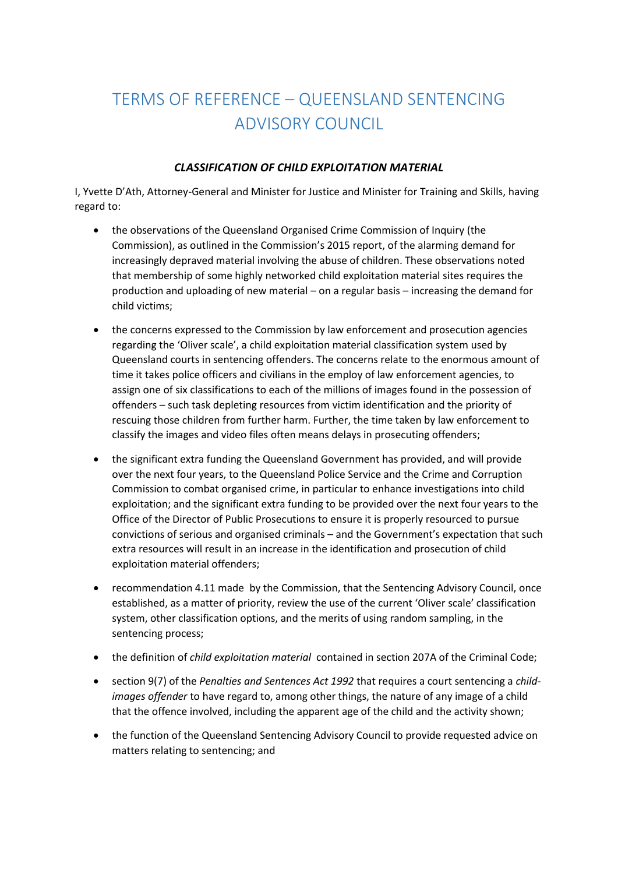## TERMS OF REFERENCE – QUEENSLAND SENTENCING ADVISORY COUNCIL

## *CLASSIFICATION OF CHILD EXPLOITATION MATERIAL*

I, Yvette D'Ath, Attorney-General and Minister for Justice and Minister for Training and Skills, having regard to:

- the observations of the Queensland Organised Crime Commission of Inquiry (the Commission), as outlined in the Commission's 2015 report, of the alarming demand for increasingly depraved material involving the abuse of children. These observations noted that membership of some highly networked child exploitation material sites requires the production and uploading of new material – on a regular basis – increasing the demand for child victims;
- the concerns expressed to the Commission by law enforcement and prosecution agencies regarding the 'Oliver scale', a child exploitation material classification system used by Queensland courts in sentencing offenders. The concerns relate to the enormous amount of time it takes police officers and civilians in the employ of law enforcement agencies, to assign one of six classifications to each of the millions of images found in the possession of offenders – such task depleting resources from victim identification and the priority of rescuing those children from further harm. Further, the time taken by law enforcement to classify the images and video files often means delays in prosecuting offenders;
- the significant extra funding the Queensland Government has provided, and will provide over the next four years, to the Queensland Police Service and the Crime and Corruption Commission to combat organised crime, in particular to enhance investigations into child exploitation; and the significant extra funding to be provided over the next four years to the Office of the Director of Public Prosecutions to ensure it is properly resourced to pursue convictions of serious and organised criminals – and the Government's expectation that such extra resources will result in an increase in the identification and prosecution of child exploitation material offenders;
- recommendation 4.11 made by the Commission, that the Sentencing Advisory Council, once established, as a matter of priority, review the use of the current 'Oliver scale' classification system, other classification options, and the merits of using random sampling, in the sentencing process;
- the definition of *child exploitation material* contained in section 207A of the Criminal Code;
- section 9(7) of the *Penalties and Sentences Act 1992* that requires a court sentencing a *childimages offender* to have regard to, among other things, the nature of any image of a child that the offence involved, including the apparent age of the child and the activity shown;
- the function of the Queensland Sentencing Advisory Council to provide requested advice on matters relating to sentencing; and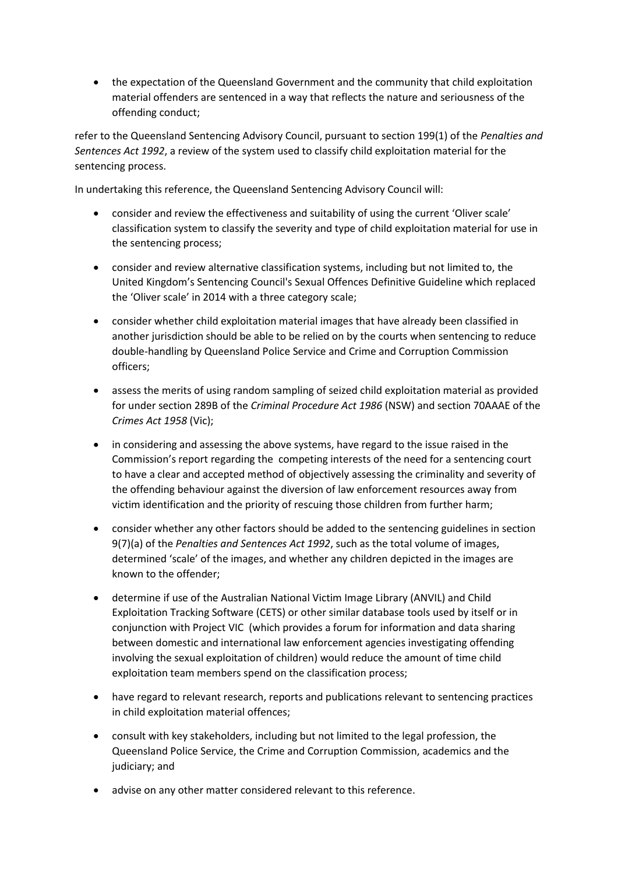the expectation of the Queensland Government and the community that child exploitation material offenders are sentenced in a way that reflects the nature and seriousness of the offending conduct;

refer to the Queensland Sentencing Advisory Council, pursuant to section 199(1) of the *Penalties and Sentences Act 1992*, a review of the system used to classify child exploitation material for the sentencing process.

In undertaking this reference, the Queensland Sentencing Advisory Council will:

- consider and review the effectiveness and suitability of using the current 'Oliver scale' classification system to classify the severity and type of child exploitation material for use in the sentencing process;
- consider and review alternative classification systems, including but not limited to, the United Kingdom's Sentencing Council's Sexual Offences Definitive Guideline which replaced the 'Oliver scale' in 2014 with a three category scale;
- consider whether child exploitation material images that have already been classified in another jurisdiction should be able to be relied on by the courts when sentencing to reduce double-handling by Queensland Police Service and Crime and Corruption Commission officers;
- assess the merits of using random sampling of seized child exploitation material as provided for under section 289B of the *Criminal Procedure Act 1986* (NSW) and section 70AAAE of the *Crimes Act 1958* (Vic);
- in considering and assessing the above systems, have regard to the issue raised in the Commission's report regarding the competing interests of the need for a sentencing court to have a clear and accepted method of objectively assessing the criminality and severity of the offending behaviour against the diversion of law enforcement resources away from victim identification and the priority of rescuing those children from further harm;
- consider whether any other factors should be added to the sentencing guidelines in section 9(7)(a) of the *Penalties and Sentences Act 1992*, such as the total volume of images, determined 'scale' of the images, and whether any children depicted in the images are known to the offender;
- determine if use of the Australian National Victim Image Library (ANVIL) and Child Exploitation Tracking Software (CETS) or other similar database tools used by itself or in conjunction with Project VIC (which provides a forum for information and data sharing between domestic and international law enforcement agencies investigating offending involving the sexual exploitation of children) would reduce the amount of time child exploitation team members spend on the classification process;
- have regard to relevant research, reports and publications relevant to sentencing practices in child exploitation material offences;
- consult with key stakeholders, including but not limited to the legal profession, the Queensland Police Service, the Crime and Corruption Commission, academics and the judiciary; and
- advise on any other matter considered relevant to this reference.